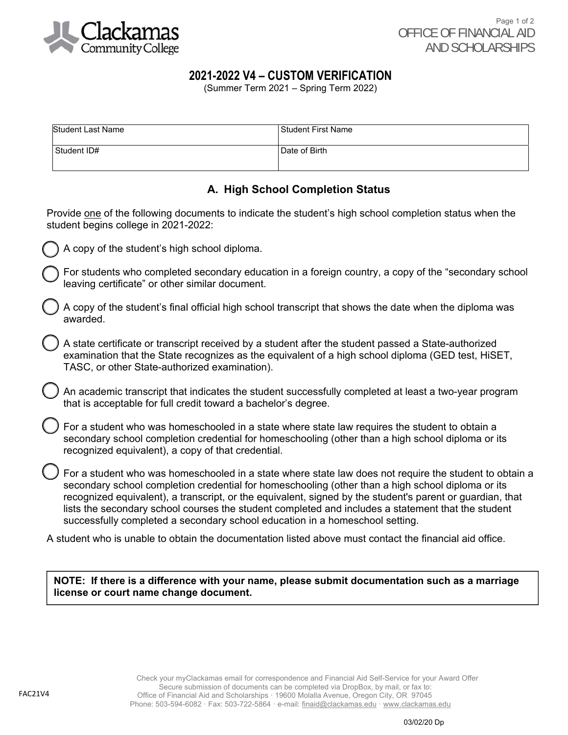

# **2021-2022 V4 – CUSTOM VERIFICATION**

(Summer Term 2021 – Spring Term 2022)

| <b>Student Last Name</b> | l Student First Name |
|--------------------------|----------------------|
| Student ID#              | Date of Birth        |

# **A. High School Completion Status**

Provide one of the following documents to indicate the student's high school completion status when the student begins college in 2021-2022:

- A copy of the student's high school diploma.
	- For students who completed secondary education in a foreign country, a copy of the "secondary school leaving certificate" or other similar document.
- A copy of the student's final official high school transcript that shows the date when the diploma was awarded.
- A state certificate or transcript received by a student after the student passed a State-authorized examination that the State recognizes as the equivalent of a high school diploma (GED test, HiSET, TASC, or other State-authorized examination).
- An academic transcript that indicates the student successfully completed at least a two-year program that is acceptable for full credit toward a bachelor's degree.
- For a student who was homeschooled in a state where state law requires the student to obtain a secondary school completion credential for homeschooling (other than a high school diploma or its recognized equivalent), a copy of that credential.
- For a student who was homeschooled in a state where state law does not require the student to obtain a secondary school completion credential for homeschooling (other than a high school diploma or its recognized equivalent), a transcript, or the equivalent, signed by the student's parent or guardian, that lists the secondary school courses the student completed and includes a statement that the student successfully completed a secondary school education in a homeschool setting.

A student who is unable to obtain the documentation listed above must contact the financial aid office.

**NOTE: If there is a difference with your name, please submit documentation such as a marriage license or court name change document.**